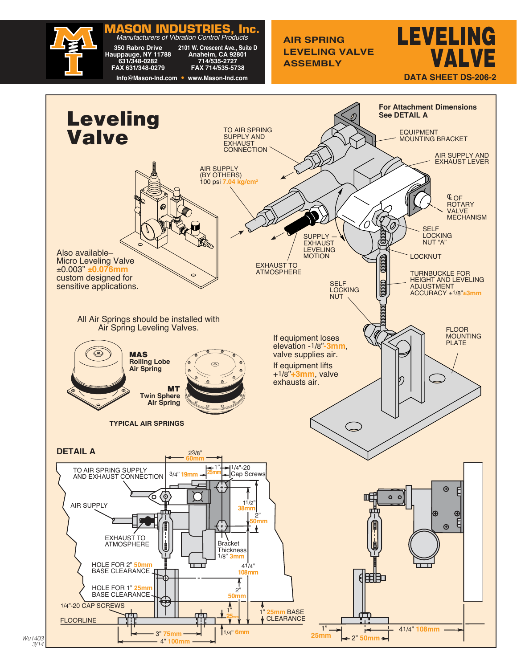